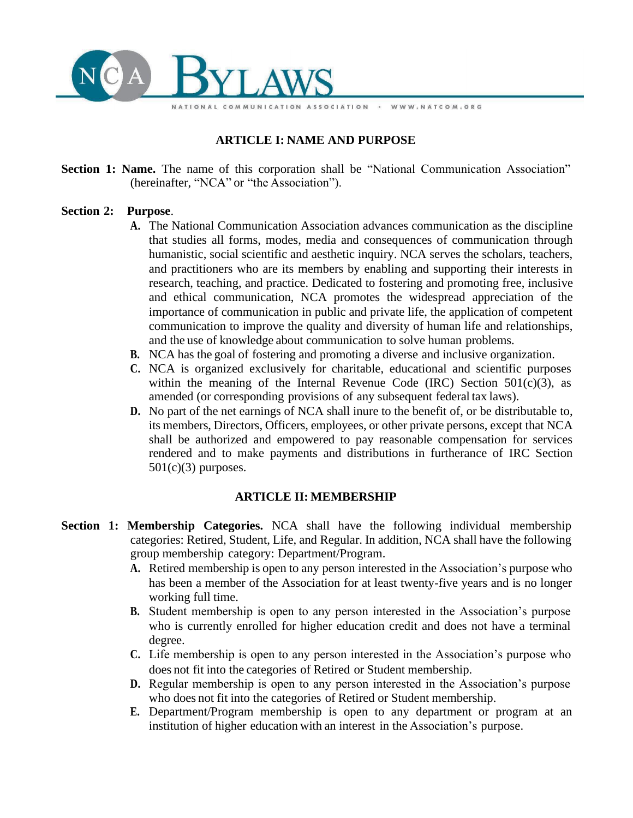

# **ARTICLE I: NAME AND PURPOSE**

**Section 1: Name.** The name of this corporation shall be "National Communication Association" (hereinafter, "NCA" or "the Association").

#### **Section 2: Purpose**.

**A.** The National Communication Association advances communication as the discipline that studies all forms, modes, media and consequences of communication through humanistic, social scientific and aesthetic inquiry. NCA serves the scholars, teachers, and practitioners who are its members by enabling and supporting their interests in research, teaching, and practice. Dedicated to fostering and promoting free, inclusive and ethical communication, NCA promotes the widespread appreciation of the importance of communication in public and private life, the application of competent communication to improve the quality and diversity of human life and relationships, and the use of knowledge about communication to solve human problems.

WWW.NATCOM.ORG

- **B.** NCA has the goal of fostering and promoting a diverse and inclusive organization.
- **C.** NCA is organized exclusively for charitable, educational and scientific purposes within the meaning of the Internal Revenue Code (IRC) Section  $501(c)(3)$ , as amended (or corresponding provisions of any subsequent federal tax laws).
- **D.** No part of the net earnings of NCA shall inure to the benefit of, or be distributable to, its members, Directors, Officers, employees, or other private persons, except that NCA shall be authorized and empowered to pay reasonable compensation for services rendered and to make payments and distributions in furtherance of IRC Section  $501(c)(3)$  purposes.

#### **ARTICLE II: MEMBERSHIP**

- **Section 1: Membership Categories.** NCA shall have the following individual membership categories: Retired, Student, Life, and Regular. In addition, NCA shall have the following group membership category: Department/Program.
	- **A.** Retired membership is open to any person interested in the Association's purpose who has been a member of the Association for at least twenty-five years and is no longer working full time.
	- **B.** Student membership is open to any person interested in the Association's purpose who is currently enrolled for higher education credit and does not have a terminal degree.
	- **C.** Life membership is open to any person interested in the Association's purpose who does not fit into the categories of Retired or Student membership.
	- **D.** Regular membership is open to any person interested in the Association's purpose who does not fit into the categories of Retired or Student membership.
	- **E.** Department/Program membership is open to any department or program at an institution of higher education with an interest in the Association's purpose.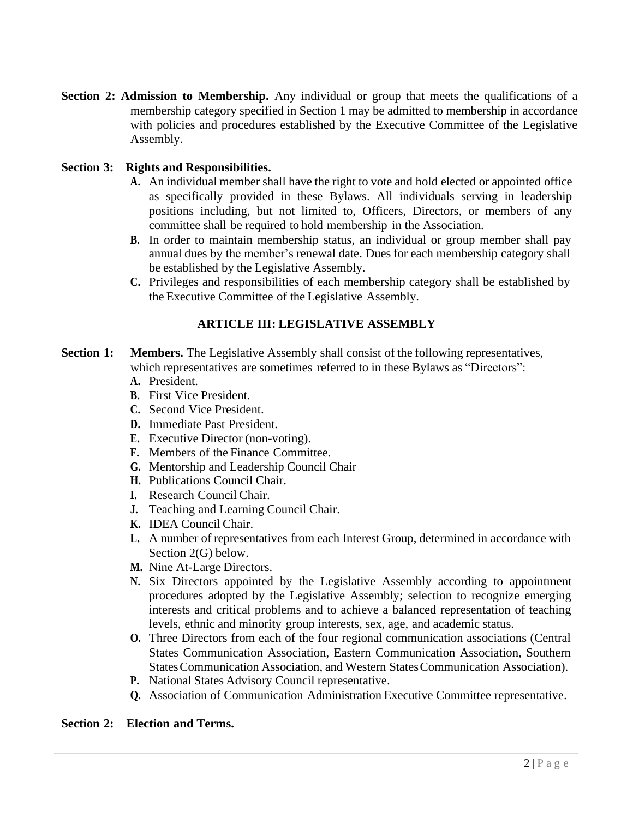**Section 2: Admission to Membership.** Any individual or group that meets the qualifications of a membership category specified in Section 1 may be admitted to membership in accordance with policies and procedures established by the Executive Committee of the Legislative Assembly.

## **Section 3: Rights and Responsibilities.**

- **A.** An individual member shall have the right to vote and hold elected or appointed office as specifically provided in these Bylaws. All individuals serving in leadership positions including, but not limited to, Officers, Directors, or members of any committee shall be required to hold membership in the Association.
- **B.** In order to maintain membership status, an individual or group member shall pay annual dues by the member's renewal date. Duesfor each membership category shall be established by the Legislative Assembly.
- **C.** Privileges and responsibilities of each membership category shall be established by the Executive Committee of the Legislative Assembly.

# **ARTICLE III: LEGISLATIVE ASSEMBLY**

- **Section 1: Members.** The Legislative Assembly shall consist of the following representatives, which representatives are sometimes referred to in these Bylaws as "Directors":
	- **A.** President.
	- **B.** First Vice President.
	- **C.** Second Vice President.
	- **D.** Immediate Past President.
	- **E.** Executive Director (non-voting).
	- **F.** Members of the Finance Committee.
	- **G.** Mentorship and Leadership Council Chair
	- **H.** Publications Council Chair.
	- **I.** Research Council Chair.
	- **J.** Teaching and Learning Council Chair.
	- **K.** IDEA Council Chair.
	- **L.** A number of representatives from each Interest Group, determined in accordance with Section 2(G) below.
	- **M.** Nine At-Large Directors.
	- **N.** Six Directors appointed by the Legislative Assembly according to appointment procedures adopted by the Legislative Assembly; selection to recognize emerging interests and critical problems and to achieve a balanced representation of teaching levels, ethnic and minority group interests, sex, age, and academic status.
	- **O.** Three Directors from each of the four regional communication associations (Central States Communication Association, Eastern Communication Association, Southern StatesCommunication Association, and Western StatesCommunication Association).
	- **P.** National States Advisory Council representative.
	- **Q.** Association of Communication Administration Executive Committee representative.

#### **Section 2: Election and Terms.**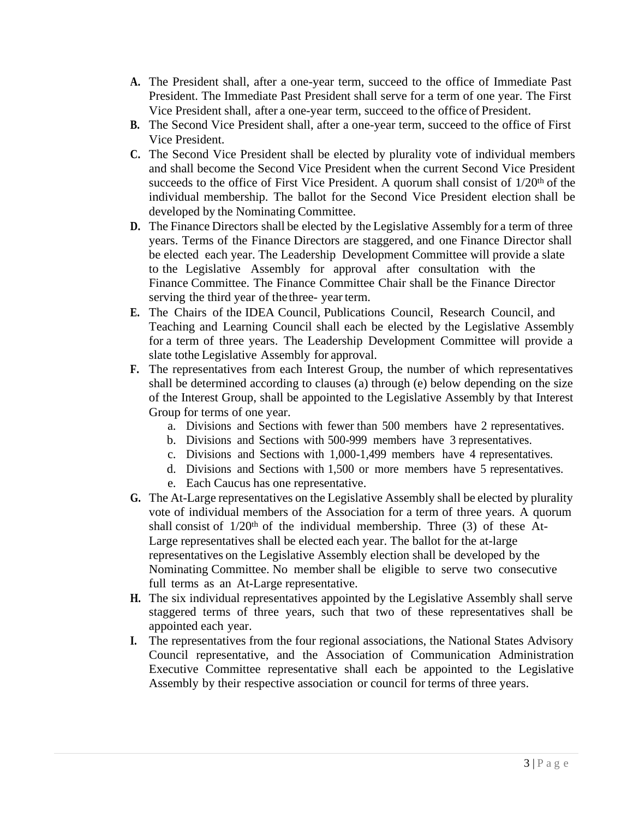- **A.** The President shall, after a one-year term, succeed to the office of Immediate Past President. The Immediate Past President shall serve for a term of one year. The First Vice President shall, after a one-year term, succeed to the office of President.
- **B.** The Second Vice President shall, after a one-year term, succeed to the office of First Vice President.
- **C.** The Second Vice President shall be elected by plurality vote of individual members and shall become the Second Vice President when the current Second Vice President succeeds to the office of First Vice President. A quorum shall consist of  $1/20<sup>th</sup>$  of the individual membership. The ballot for the Second Vice President election shall be developed by the Nominating Committee.
- **D.** The Finance Directors shall be elected by the Legislative Assembly for a term of three years. Terms of the Finance Directors are staggered, and one Finance Director shall be elected each year. The Leadership Development Committee will provide a slate to the Legislative Assembly for approval after consultation with the Finance Committee. The Finance Committee Chair shall be the Finance Director serving the third year of the three- year term.
- **E.** The Chairs of the IDEA Council, Publications Council, Research Council, and Teaching and Learning Council shall each be elected by the Legislative Assembly for a term of three years. The Leadership Development Committee will provide a slate tothe Legislative Assembly for approval.
- **F.** The representatives from each Interest Group, the number of which representatives shall be determined according to clauses (a) through (e) below depending on the size of the Interest Group, shall be appointed to the Legislative Assembly by that Interest Group for terms of one year.
	- a. Divisions and Sections with fewer than 500 members have 2 representatives.
	- b. Divisions and Sections with 500-999 members have 3 representatives.
	- c. Divisions and Sections with 1,000-1,499 members have 4 representatives.
	- d. Divisions and Sections with 1,500 or more members have 5 representatives.
	- e. Each Caucus has one representative.
- **G.** The At-Large representatives on the Legislative Assembly shall be elected by plurality vote of individual members of the Association for a term of three years. A quorum shall consist of  $1/20<sup>th</sup>$  of the individual membership. Three (3) of these At-Large representatives shall be elected each year. The ballot for the at-large representatives on the Legislative Assembly election shall be developed by the Nominating Committee. No member shall be eligible to serve two consecutive full terms as an At-Large representative.
- **H.** The six individual representatives appointed by the Legislative Assembly shall serve staggered terms of three years, such that two of these representatives shall be appointed each year.
- **I.** The representatives from the four regional associations, the National States Advisory Council representative, and the Association of Communication Administration Executive Committee representative shall each be appointed to the Legislative Assembly by their respective association or council for terms of three years.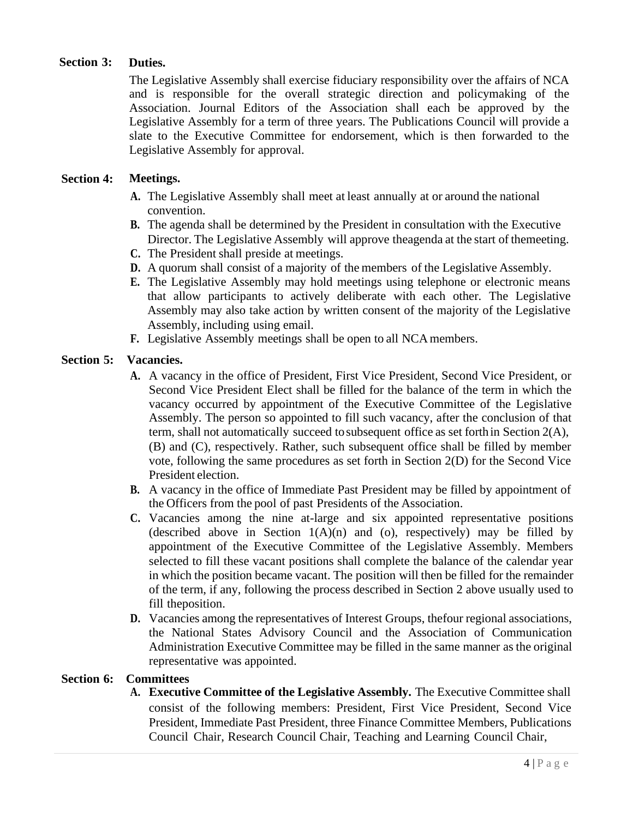#### **Section 3: Duties.**

The Legislative Assembly shall exercise fiduciary responsibility over the affairs of NCA and is responsible for the overall strategic direction and policymaking of the Association. Journal Editors of the Association shall each be approved by the Legislative Assembly for a term of three years. The Publications Council will provide a slate to the Executive Committee for endorsement, which is then forwarded to the Legislative Assembly for approval.

#### **Section 4: Meetings.**

- **A.** The Legislative Assembly shall meet at least annually at or around the national convention.
- **B.** The agenda shall be determined by the President in consultation with the Executive Director. The Legislative Assembly will approve theagenda at the start of themeeting.
- **C.** The President shall preside at meetings.
- **D.** A quorum shall consist of a majority of the members of the Legislative Assembly.
- **E.** The Legislative Assembly may hold meetings using telephone or electronic means that allow participants to actively deliberate with each other. The Legislative Assembly may also take action by written consent of the majority of the Legislative Assembly, including using email.
- **F.** Legislative Assembly meetings shall be open to all NCAmembers.

## **Section 5: Vacancies.**

- **A.** A vacancy in the office of President, First Vice President, Second Vice President, or Second Vice President Elect shall be filled for the balance of the term in which the vacancy occurred by appointment of the Executive Committee of the Legislative Assembly. The person so appointed to fill such vacancy, after the conclusion of that term, shall not automatically succeed tosubsequent office as set forthin Section 2(A), (B) and (C), respectively. Rather, such subsequent office shall be filled by member vote, following the same procedures as set forth in Section 2(D) for the Second Vice President election.
- **B.** A vacancy in the office of Immediate Past President may be filled by appointment of the Officers from the pool of past Presidents of the Association.
- **C.** Vacancies among the nine at-large and six appointed representative positions (described above in Section  $1(A)(n)$  and (o), respectively) may be filled by appointment of the Executive Committee of the Legislative Assembly. Members selected to fill these vacant positions shall complete the balance of the calendar year in which the position became vacant. The position will then be filled for the remainder of the term, if any, following the process described in Section 2 above usually used to fill theposition.
- **D.** Vacancies among the representatives of Interest Groups, thefour regional associations, the National States Advisory Council and the Association of Communication Administration Executive Committee may be filled in the same manner as the original representative was appointed.

#### **Section 6: Committees**

**A. Executive Committee of the Legislative Assembly.** The Executive Committee shall consist of the following members: President, First Vice President, Second Vice President, Immediate Past President, three Finance Committee Members, Publications Council Chair, Research Council Chair, Teaching and Learning Council Chair,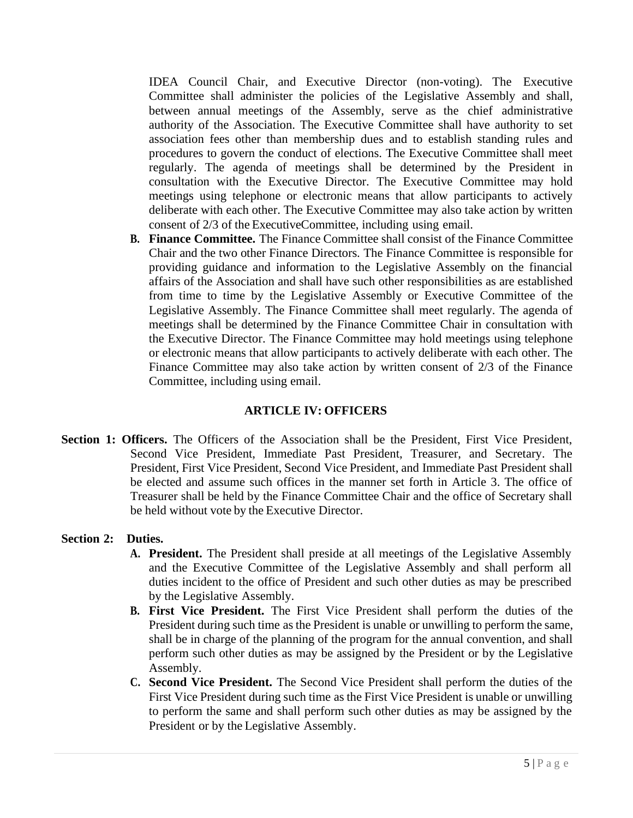IDEA Council Chair, and Executive Director (non-voting). The Executive Committee shall administer the policies of the Legislative Assembly and shall, between annual meetings of the Assembly, serve as the chief administrative authority of the Association. The Executive Committee shall have authority to set association fees other than membership dues and to establish standing rules and procedures to govern the conduct of elections. The Executive Committee shall meet regularly. The agenda of meetings shall be determined by the President in consultation with the Executive Director. The Executive Committee may hold meetings using telephone or electronic means that allow participants to actively deliberate with each other. The Executive Committee may also take action by written consent of 2/3 of the ExecutiveCommittee, including using email.

**B. Finance Committee.** The Finance Committee shall consist of the Finance Committee Chair and the two other Finance Directors. The Finance Committee is responsible for providing guidance and information to the Legislative Assembly on the financial affairs of the Association and shall have such other responsibilities as are established from time to time by the Legislative Assembly or Executive Committee of the Legislative Assembly. The Finance Committee shall meet regularly. The agenda of meetings shall be determined by the Finance Committee Chair in consultation with the Executive Director. The Finance Committee may hold meetings using telephone or electronic means that allow participants to actively deliberate with each other. The Finance Committee may also take action by written consent of 2/3 of the Finance Committee, including using email.

# **ARTICLE IV: OFFICERS**

**Section 1: Officers.** The Officers of the Association shall be the President, First Vice President, Second Vice President, Immediate Past President, Treasurer, and Secretary. The President, First Vice President, Second Vice President, and Immediate Past President shall be elected and assume such offices in the manner set forth in Article 3. The office of Treasurer shall be held by the Finance Committee Chair and the office of Secretary shall be held without vote by the Executive Director.

# **Section 2: Duties.**

- **A. President.** The President shall preside at all meetings of the Legislative Assembly and the Executive Committee of the Legislative Assembly and shall perform all duties incident to the office of President and such other duties as may be prescribed by the Legislative Assembly.
- **B. First Vice President.** The First Vice President shall perform the duties of the President during such time as the President is unable or unwilling to perform the same, shall be in charge of the planning of the program for the annual convention, and shall perform such other duties as may be assigned by the President or by the Legislative Assembly.
- **C. Second Vice President.** The Second Vice President shall perform the duties of the First Vice President during such time as the First Vice President is unable or unwilling to perform the same and shall perform such other duties as may be assigned by the President or by the Legislative Assembly.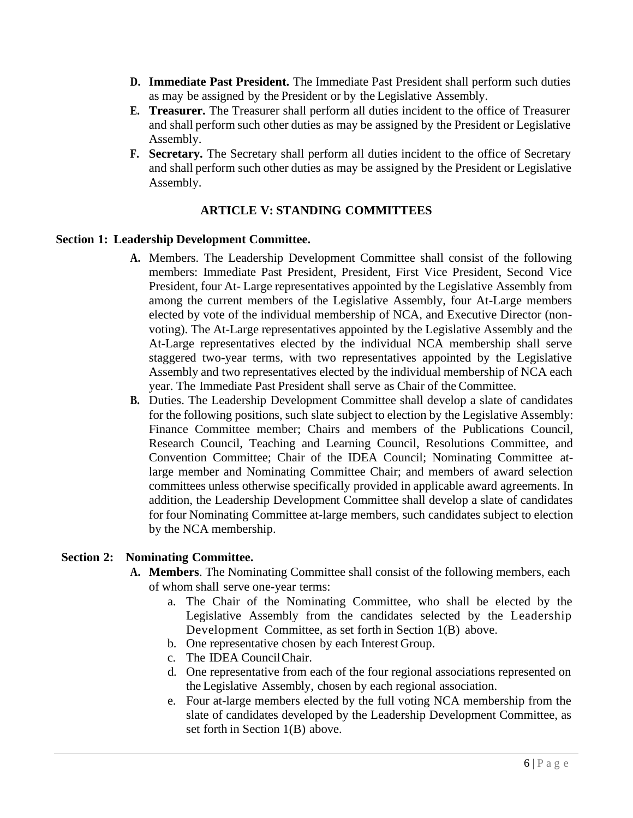- **D. Immediate Past President.** The Immediate Past President shall perform such duties as may be assigned by the President or by the Legislative Assembly.
- **E. Treasurer.** The Treasurer shall perform all duties incident to the office of Treasurer and shall perform such other duties as may be assigned by the President or Legislative Assembly.
- **F. Secretary.** The Secretary shall perform all duties incident to the office of Secretary and shall perform such other duties as may be assigned by the President or Legislative Assembly.

# **ARTICLE V: STANDING COMMITTEES**

## **Section 1: Leadership Development Committee.**

- **A.** Members. The Leadership Development Committee shall consist of the following members: Immediate Past President, President, First Vice President, Second Vice President, four At- Large representatives appointed by the Legislative Assembly from among the current members of the Legislative Assembly, four At-Large members elected by vote of the individual membership of NCA, and Executive Director (nonvoting). The At-Large representatives appointed by the Legislative Assembly and the At-Large representatives elected by the individual NCA membership shall serve staggered two-year terms, with two representatives appointed by the Legislative Assembly and two representatives elected by the individual membership of NCA each year. The Immediate Past President shall serve as Chair of the Committee.
- **B.** Duties. The Leadership Development Committee shall develop a slate of candidates for the following positions, such slate subject to election by the Legislative Assembly: Finance Committee member; Chairs and members of the Publications Council, Research Council, Teaching and Learning Council, Resolutions Committee, and Convention Committee; Chair of the IDEA Council; Nominating Committee atlarge member and Nominating Committee Chair; and members of award selection committees unless otherwise specifically provided in applicable award agreements. In addition, the Leadership Development Committee shall develop a slate of candidates for four Nominating Committee at-large members, such candidates subject to election by the NCA membership.

#### **Section 2: Nominating Committee.**

- **A. Members**. The Nominating Committee shall consist of the following members, each of whom shall serve one-year terms:
	- a. The Chair of the Nominating Committee, who shall be elected by the Legislative Assembly from the candidates selected by the Leadership Development Committee, as set forth in Section 1(B) above.
	- b. One representative chosen by each Interest Group.
	- c. The IDEA CouncilChair.
	- d. One representative from each of the four regional associations represented on the Legislative Assembly, chosen by each regional association.
	- e. Four at-large members elected by the full voting NCA membership from the slate of candidates developed by the Leadership Development Committee, as set forth in Section 1(B) above.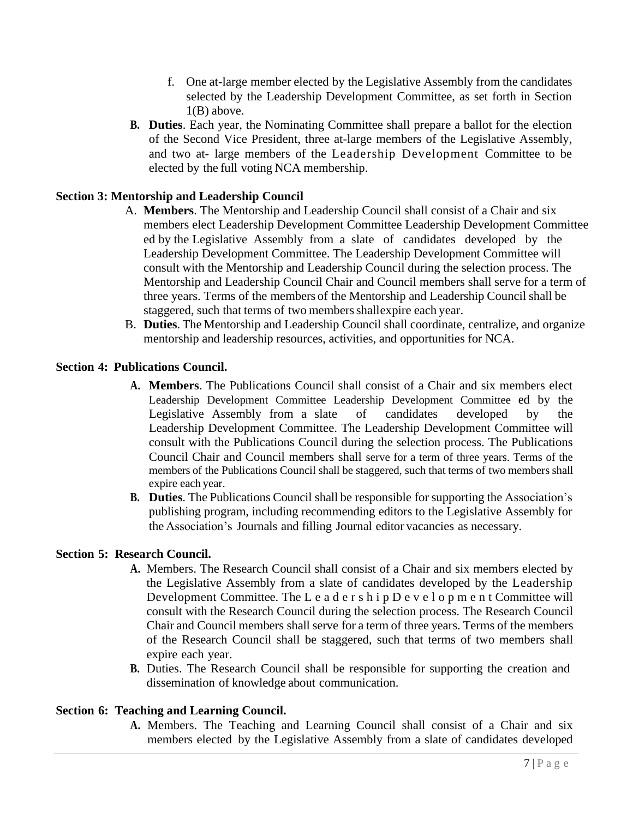- f. One at-large member elected by the Legislative Assembly from the candidates selected by the Leadership Development Committee, as set forth in Section  $1(B)$  above.
- **B. Duties**. Each year, the Nominating Committee shall prepare a ballot for the election of the Second Vice President, three at-large members of the Legislative Assembly, and two at- large members of the Leadership Development Committee to be elected by the full voting NCA membership.

## **Section 3: Mentorship and Leadership Council**

- A. **Members**. The Mentorship and Leadership Council shall consist of a Chair and six members elect Leadership Development Committee Leadership Development Committee ed by the Legislative Assembly from a slate of candidates developed by the Leadership Development Committee. The Leadership Development Committee will consult with the Mentorship and Leadership Council during the selection process. The Mentorship and Leadership Council Chair and Council members shall serve for a term of three years. Terms of the members of the Mentorship and Leadership Council shall be staggered, such that terms of two members shallexpire each year.
- B. **Duties**. The Mentorship and Leadership Council shall coordinate, centralize, and organize mentorship and leadership resources, activities, and opportunities for NCA.

#### **Section 4: Publications Council.**

- **A. Members**. The Publications Council shall consist of a Chair and six members elect Leadership Development Committee Leadership Development Committee ed by the Legislative Assembly from a slate of candidates developed by the Leadership Development Committee. The Leadership Development Committee will consult with the Publications Council during the selection process. The Publications Council Chair and Council members shall serve for a term of three years. Terms of the members of the Publications Council shall be staggered, such that terms of two members shall expire each year.
- **B. Duties**. The Publications Council shall be responsible for supporting the Association's publishing program, including recommending editors to the Legislative Assembly for the Association's Journals and filling Journal editor vacancies as necessary.

#### **Section 5: Research Council.**

- **A.** Members. The Research Council shall consist of a Chair and six members elected by the Legislative Assembly from a slate of candidates developed by the Leadership Development Committee. The L e a d e r s h i p D e v e l o p m e n t Committee will consult with the Research Council during the selection process. The Research Council Chair and Council members shall serve for a term of three years. Terms of the members of the Research Council shall be staggered, such that terms of two members shall expire each year.
- **B.** Duties. The Research Council shall be responsible for supporting the creation and dissemination of knowledge about communication.

#### **Section 6: Teaching and Learning Council.**

**A.** Members. The Teaching and Learning Council shall consist of a Chair and six members elected by the Legislative Assembly from a slate of candidates developed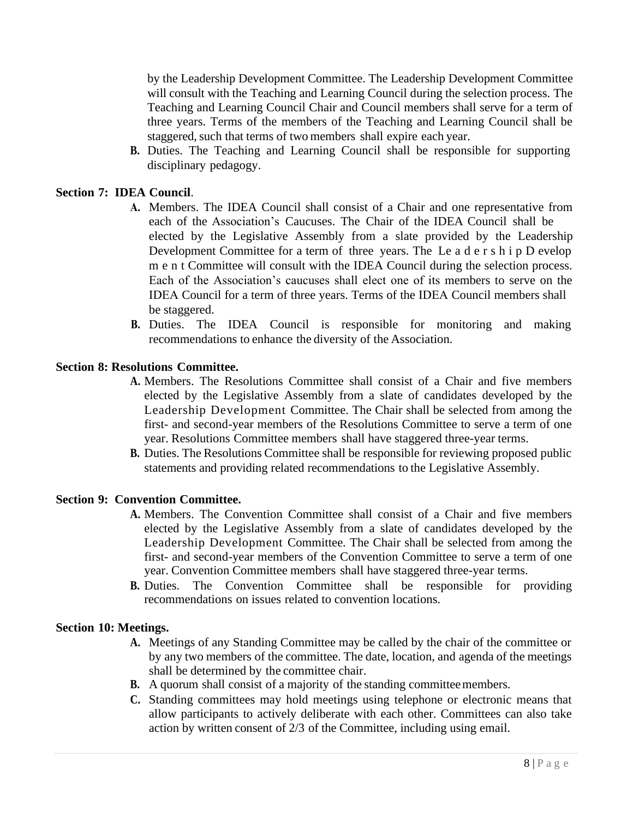by the Leadership Development Committee. The Leadership Development Committee will consult with the Teaching and Learning Council during the selection process. The Teaching and Learning Council Chair and Council members shall serve for a term of three years. Terms of the members of the Teaching and Learning Council shall be staggered, such that terms of two members shall expire each year.

**B.** Duties. The Teaching and Learning Council shall be responsible for supporting disciplinary pedagogy.

## **Section 7: IDEA Council**.

- **A.** Members. The IDEA Council shall consist of a Chair and one representative from each of the Association's Caucuses. The Chair of the IDEA Council shall be elected by the Legislative Assembly from a slate provided by the Leadership Development Committee for a term of three years. The Le a d e r s h i p D evelop m e n t Committee will consult with the IDEA Council during the selection process. Each of the Association's caucuses shall elect one of its members to serve on the IDEA Council for a term of three years. Terms of the IDEA Council members shall be staggered.
- **B.** Duties. The IDEA Council is responsible for monitoring and making recommendations to enhance the diversity of the Association.

#### **Section 8: Resolutions Committee.**

- **A.** Members. The Resolutions Committee shall consist of a Chair and five members elected by the Legislative Assembly from a slate of candidates developed by the Leadership Development Committee. The Chair shall be selected from among the first- and second-year members of the Resolutions Committee to serve a term of one year. Resolutions Committee members shall have staggered three-year terms.
- **B.** Duties. The Resolutions Committee shall be responsible for reviewing proposed public statements and providing related recommendations to the Legislative Assembly.

#### **Section 9: Convention Committee.**

- **A.** Members. The Convention Committee shall consist of a Chair and five members elected by the Legislative Assembly from a slate of candidates developed by the Leadership Development Committee. The Chair shall be selected from among the first- and second-year members of the Convention Committee to serve a term of one year. Convention Committee members shall have staggered three-year terms.
- **B.** Duties. The Convention Committee shall be responsible for providing recommendations on issues related to convention locations.

#### **Section 10: Meetings.**

- **A.** Meetings of any Standing Committee may be called by the chair of the committee or by any two members of the committee. The date, location, and agenda of the meetings shall be determined by the committee chair.
- **B.** A quorum shall consist of a majority of the standing committeemembers.
- **C.** Standing committees may hold meetings using telephone or electronic means that allow participants to actively deliberate with each other. Committees can also take action by written consent of 2/3 of the Committee, including using email.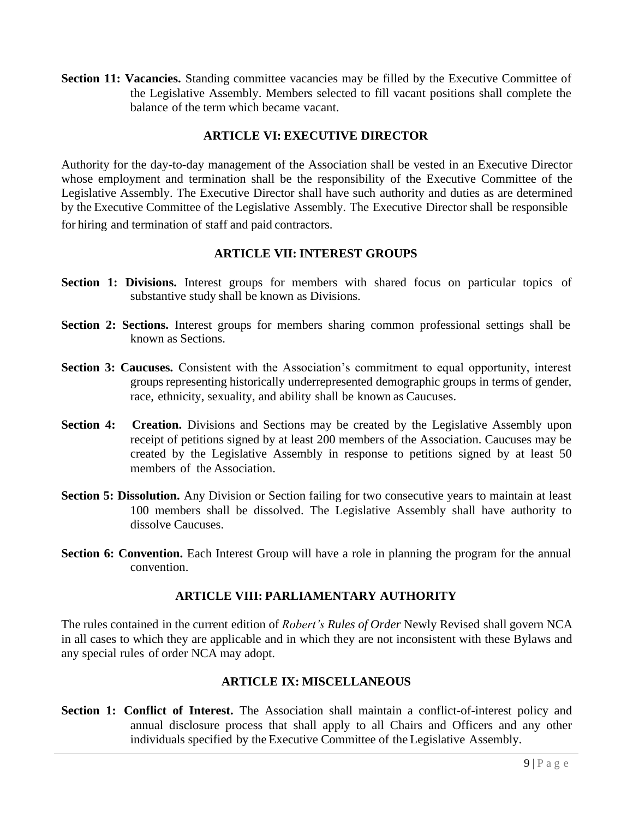**Section 11: Vacancies.** Standing committee vacancies may be filled by the Executive Committee of the Legislative Assembly. Members selected to fill vacant positions shall complete the balance of the term which became vacant.

# **ARTICLE VI: EXECUTIVE DIRECTOR**

Authority for the day-to-day management of the Association shall be vested in an Executive Director whose employment and termination shall be the responsibility of the Executive Committee of the Legislative Assembly. The Executive Director shall have such authority and duties as are determined by the Executive Committee of the Legislative Assembly. The Executive Director shall be responsible for hiring and termination of staff and paid contractors.

# **ARTICLE VII: INTEREST GROUPS**

- **Section 1: Divisions.** Interest groups for members with shared focus on particular topics of substantive study shall be known as Divisions.
- **Section 2: Sections.** Interest groups for members sharing common professional settings shall be known as Sections.
- **Section 3: Caucuses.** Consistent with the Association's commitment to equal opportunity, interest groups representing historically underrepresented demographic groups in terms of gender, race, ethnicity, sexuality, and ability shall be known as Caucuses.
- Section 4: Creation. Divisions and Sections may be created by the Legislative Assembly upon receipt of petitions signed by at least 200 members of the Association. Caucuses may be created by the Legislative Assembly in response to petitions signed by at least 50 members of the Association.
- **Section 5: Dissolution.** Any Division or Section failing for two consecutive years to maintain at least 100 members shall be dissolved. The Legislative Assembly shall have authority to dissolve Caucuses.
- **Section 6: Convention.** Each Interest Group will have a role in planning the program for the annual convention.

# **ARTICLE VIII: PARLIAMENTARY AUTHORITY**

The rules contained in the current edition of *Robert's Rules of Order* Newly Revised shall govern NCA in all cases to which they are applicable and in which they are not inconsistent with these Bylaws and any special rules of order NCA may adopt.

# **ARTICLE IX: MISCELLANEOUS**

**Section 1: Conflict of Interest.** The Association shall maintain a conflict-of-interest policy and annual disclosure process that shall apply to all Chairs and Officers and any other individuals specified by the Executive Committee of the Legislative Assembly.